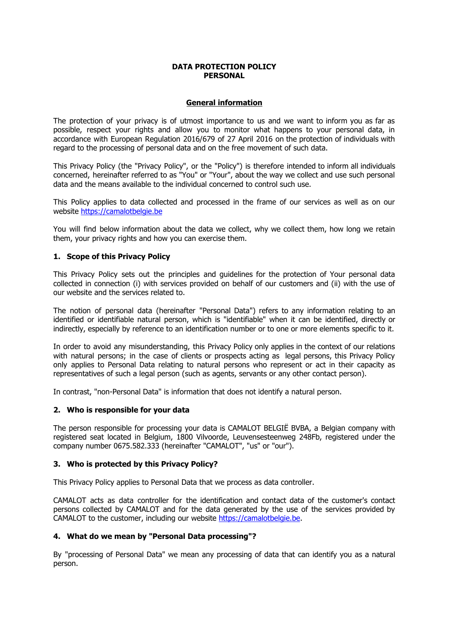## **DATA PROTECTION POLICY PERSONAL**

# **General information**

The protection of your privacy is of utmost importance to us and we want to inform you as far as possible, respect your rights and allow you to monitor what happens to your personal data, in accordance with European Regulation 2016/679 of 27 April 2016 on the protection of individuals with regard to the processing of personal data and on the free movement of such data.

This Privacy Policy (the "Privacy Policy", or the "Policy") is therefore intended to inform all individuals concerned, hereinafter referred to as "You" or "Your", about the way we collect and use such personal data and the means available to the individual concerned to control such use.

This Policy applies to data collected and processed in the frame of our services as well as on our website [https://camalotbelgie.be](https://camalotbelgie.be/)

You will find below information about the data we collect, why we collect them, how long we retain them, your privacy rights and how you can exercise them.

# **1. Scope of this Privacy Policy**

This Privacy Policy sets out the principles and quidelines for the protection of Your personal data collected in connection (i) with services provided on behalf of our customers and (ii) with the use of our website and the services related to.

The notion of personal data (hereinafter "Personal Data") refers to any information relating to an identified or identifiable natural person, which is "identifiable" when it can be identified, directly or indirectly, especially by reference to an identification number or to one or more elements specific to it.

In order to avoid any misunderstanding, this Privacy Policy only applies in the context of our relations with natural persons; in the case of clients or prospects acting as legal persons, this Privacy Policy only applies to Personal Data relating to natural persons who represent or act in their capacity as representatives of such a legal person (such as agents, servants or any other contact person).

In contrast, "non-Personal Data" is information that does not identify a natural person.

## **2. Who is responsible for your data**

The person responsible for processing your data is CAMALOT BELGIE BVBA, a Belgian company with registered seat located in Belgium, 1800 Vilvoorde, Leuvensesteen weg 248Fb, registered under the company number 0675.582.333 (hereinafter "CAMALOT", "us" or "our").

## **3. Who is protected by this Privacy Policy?**

This Privacy Policy applies to Personal Data that we process as data controller.

CAMALOT acts as data controller for the identification and contact data of the customer's contact persons collected by CAMALOT and for the data generated by the use of the services provided by CAMALOT to the customer, including our website [https://camalotbelgie.be.](https://camalotbelgie.be/)

## **4. What do we mean by "Personal Data processing"?**

By "processing of Personal Data" we mean any processing of data that can identify you as a natural person.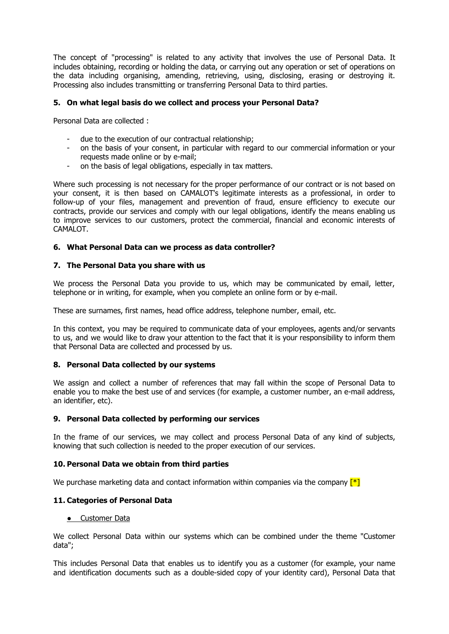The concept of "processing" is related to any activity that involves the use of Personal Data. It includes obtaining, recording or holding the data, or carrying out any operation or set of operations on the data including organising, amending, retrieving, using, disclosing, erasing or destroying it. Processing also includes transmitting or transferring Personal Data to third parties.

# **5. On what legal basis do we collect and process your Personal Data?**

Personal Data are collected :

- due to the execution of our contractual relationship;
- on the basis of your consent, in particular with regard to our commercial information or your requests made online or by e-mail;
- on the basis of legal obligations, especially in tax matters.

Where such processing is not necessary for the proper performance of our contract or is not based on your consent, it is then based on CAMALOT's legitimate interests as a professional, in order to follow-up of your files, management and prevention of fraud, ensure efficiency to execute our contracts, provide our services and comply with our legal obligations, identify the means enabling us to improve services to our customers, protect the commercial, financial and economic interests of CAMALOT.

#### **6. What Personal Data can we process as data controller?**

#### **7. The Personal Data you share with us**

We process the Personal Data you provide to us, which may be communicated by email, letter, telephone or in writing, for example, when you complete an online form or by e-mail.

These are surnames, first names, head office address, telephone number, email, etc.

In this context, you may be required to communicate data of your employees, agents and/or servants to us, and we would like to draw your attention to the fact that it is your responsibility to inform them that Personal Data are collected and processed by us.

## **8. Personal Data collected by our systems**

We assign and collect a number of references that may fall within the scope of Personal Data to enable you to make the best use of and services (for example, a customer number, an e-mail address, an identifier, etc).

#### **9. Personal Data collected by performing our services**

In the frame of our services, we may collect and process Personal Data of any kind of subjects, knowing that such collection is needed to the proper execution of our services.

#### **10. Personal Data we obtain from third parties**

We purchase marketing data and contact information within companies via the company  $\lceil * \rceil$ 

#### **11. Categories of Personal Data**

#### ● Customer Data

We collect Personal Data within our systems which can be combined under the theme "Customer" data";

This includes Personal Data that enables us to identify you as a customer (for example, your name and identification documents such as a double-sided copy of your identity card), Personal Data that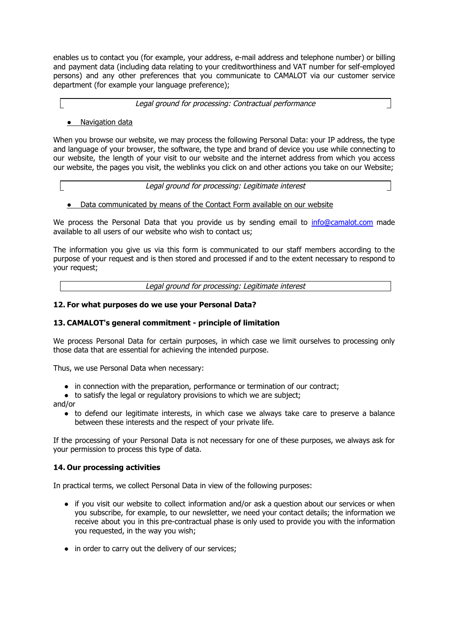enables us to contact you (for example, your address, e-mail address and telephone number) or billing and payment data (including data relating to your creditworthiness and VAT number for self-employed persons) and any other preferences that you communicate to CAMALOT via our customer service department (for example your language preference);

#### Legal ground for processing: Contractual performance

# ● Navigation data

When you browse our website, we may process the following Personal Data: your IP address, the type and language of your browser, the software, the type and brand of device you use while connecting to our website, the length of your visit to our website and the internet address from which you access our website, the pages you visit, the weblinks you click on and other actions you take on our Website;

Legal ground for processing: Legitimate interest

# ● Data communicated by means of the Contact Form available on our website

We process the Personal Data that you provide us by sending email to [info@camalot.com](mailto:info@camalot.com) made available to all users of our website who wish to contact us;

The information you give us via this form is communicated to our staff members according to the purpose of your request and is then stored and processed if and to the extent necessary to respond to your request;

Legal ground for processing: Legitimate interest

## **12. For what purposes do we use your Personal Data?**

## **13. CAMALOT's general commitment - principle of limitation**

We process Personal Data for certain purposes, in which case we limit ourselves to processing only those data that are essential for achieving the intended purpose.

Thus, we use Personal Data when necessary:

- in connection with the preparation, performance or termination of our contract;
- to satisfy the legal or regulatory provisions to which we are subject;

and/or

• to defend our legitimate interests, in which case we always take care to preserve a balance between these interests and the respect of your private life.

If the processing of your Personal Data is not necessary for one of these purposes, we always ask for your permission to process this type of data.

## **14. Our processing activities**

In practical terms, we collect Personal Data in view of the following purposes:

- if you visit our website to collect information and/or ask a question about our services or when you subscribe, for example, to our newsletter, we need your contact details; the information we receive about you in this pre-contractual phase is only used to provide you with the information you requested, in the way you wish;
- in order to carry out the delivery of our services;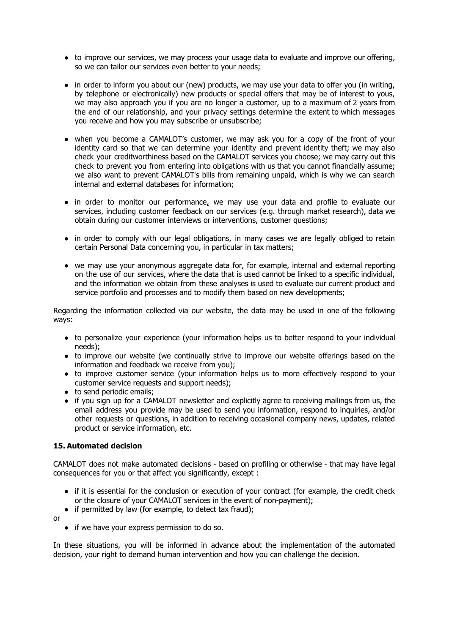- to improve our services, we may process your usage data to evaluate and improve our offering, so we can tailor our services even better to your needs;
- in order to inform you about our (new) products, we may use your data to offer you (in writing, by telephone or electronically) new products or special offers that may be of interest to yous, we may also approach you if you are no longer a customer, up to a maximum of 2 years from the end of our relationship, and your privacy settings determine the extent to which messages you receive and how you may subscribe or unsubscribe;
- when you become a CAMALOT's customer, we may ask you for a copy of the front of your identity card so that we can determine your identity and prevent identity theft; we may also check your creditworthiness based on the CAMALOT services you choose; we may carry out this check to prevent you from entering into obligations with us that you cannot financially assume; we also want to prevent CAMALOT's bills from remaining unpaid, which is why we can search internal and external databases for information;
- in order to monitor our performance, we may use your data and profile to evaluate our services, including customer feedback on our services (e.g. through market research), data we obtain during our customer interviews or interventions, customer questions;
- in order to comply with our legal obligations, in many cases we are legally obliged to retain certain Personal Data concerning you, in particular in tax matters;
- we may use your anonymous aggregate data for, for example, internal and external reporting on the use of our services, where the data that is used cannot be linked to a specific individual, and the information we obtain from these analyses is used to evaluate our current product and service portfolio and processes and to modify them based on new developments;

Regarding the information collected via our website, the data may be used in one of the following ways:

- to personalize your experience (your information helps us to better respond to your individual needs);
- to improve our website (we continually strive to improve our website offerings based on the information and feedback we receive from you);
- to improve customer service (your information helps us to more effectively respond to your customer service requests and support needs);
- to send periodic emails;
- if you sign up for a CAMALOT newsletter and explicitly agree to receiving mailings from us, the email address you provide may be used to send you information, respond to inquiries, and/or other requests or questions, in addition to receiving occasional company news, updates, related product or service information, etc.

## **15. Automated decision**

CAMALOT does not make automated decisions - based on profiling or otherwise - that may have legal consequences for you or that affect you significantly, except :

- if it is essential for the conclusion or execution of your contract (for example, the credit check or the closure of your CAMALOT services in the event of non-payment);
- if permitted by law (for example, to detect tax fraud);

or

● if we have your express permission to do so.

In these situations, you will be informed in advance about the implementation of the automated decision, your right to demand human intervention and how you can challenge the decision.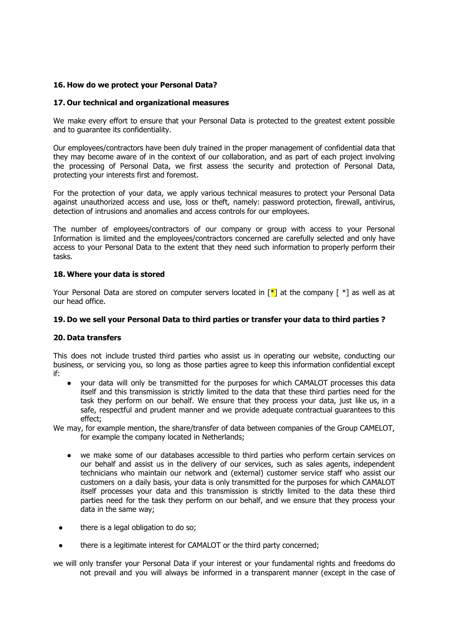# **16. How do we protect your Personal Data?**

## **17. Our technical and organizational measures**

We make every effort to ensure that your Personal Data is protected to the greatest extent possible and to guarantee its confidentiality.

Our employees/contractors have been duly trained in the proper management of confidential data that they may become aware of in the context of our collaboration, and as part of each project involving the processing of Personal Data, we first assess the security and protection of Personal Data, protecting your interests first and foremost.

For the protection of your data, we apply various technical measures to protect your Personal Data against unauthorized access and use, loss or theft, namely: password protection, firewall, antivirus, detection of intrusions and anomalies and access controls for our employees.

The number of employees/contractors of our company or group with access to your Personal Information is limited and the employees/contractors concerned are carefully selected and only have access to your Personal Data to the extent that they need such information to properly perform their tasks.

#### **18. Where your data is stored**

Your Personal Data are stored on computer servers located in  $\mathbb{R}^*$  at the company  $\mathbb{R}^*$  as well as at our head office.

#### **19. Do we sell your Personal Data to third parties or transfer your data to third parties ?**

## **20. Data transfers**

This does not include trusted third parties who assist us in operating our website, conducting our business, or servicing you, so long as those parties agree to keep this information confidential except if:

your data will only be transmitted for the purposes for which CAMALOT processes this data itself and this transmission is strictly limited to the data that these third parties need for the task they perform on our behalf. We ensure that they process your data, just like us, in a safe, respectful and prudent manner and we provide adequate contractual guarantees to this effect;

We may, for example mention, the share/transfer of data between companies of the Group CAMELOT, for example the company located in Netherlands;

- we make some of our databases accessible to third parties who perform certain services on our behalf and assist us in the delivery of our services, such as sales agents, independent technicians who maintain our network and (external) customer service staff who assist our customers on a daily basis, your data is only transmitted for the purposes for which CAMALOT itself processes your data and this transmission is strictly limited to the data these third parties need for the task they perform on our behalf, and we ensure that they process your data in the same way;
- there is a legal obligation to do so;
- there is a legitimate interest for CAMALOT or the third party concerned;

we will only transfer your Personal Data if your interest or your fundamental rights and freedoms do not prevail and you will always be informed in a transparent manner (except in the case of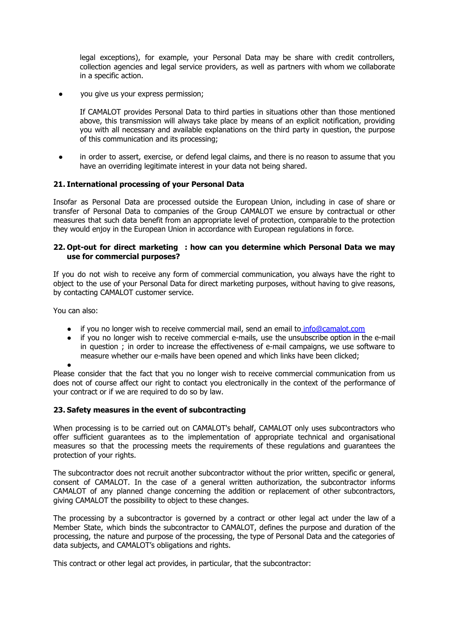legal exceptions), for example, your Personal Data may be share with credit controllers, collection agencies and legal service providers, as well as partners with whom we collaborate in a specific action.

you give us your express permission;

If CAMALOT provides Personal Data to third parties in situations other than those mentioned above, this transmission will always take place by means of an explicit notification, providing you with all necessary and available explanations on the third party in question, the purpose of this communication and its processing;

• in order to assert, exercise, or defend legal claims, and there is no reason to assume that you have an overriding legitimate interest in your data not being shared.

#### **21. International processing of your Personal Data**

Insofar as Personal Data are processed outside the European Union, including in case of share or transfer of Personal Data to companies of the Group CAMALOT we ensure by contractual or other measures that such data benefit from an appropriate level of protection, comparable to the protection they would enjoy in the European Union in accordance with European regulations in force.

#### **22. Opt-out for direct marketing : how can you determine which Personal Data we may use for commercial purposes?**

If you do not wish to receive any form of commercial communication, you always have the right to object to the use of your Personal Data for direct marketing purposes, without having to give reasons, by contacting CAMALOT customer service.

You can also:

- if you no longer wish to receive commercial mail, send an email to info@camalot.com
- if you no longer wish to receive commercial e-mails, use the unsubscribe option in the e-mail in question; in order to increase the effectiveness of e-mail campaigns, we use software to measure whether our e-mails have been opened and which links have been clicked;
- ●

Please consider that the fact that you no longer wish to receive commercial communication from us does not of course affect our right to contact you electronically in the context of the performance of your contract or if we are required to do so by law.

## **23. Safety measures in the event of subcontracting**

When processing is to be carried out on CAMALOT's behalf, CAMALOT only uses subcontractors who offer sufficient guarantees as to the implementation of appropriate technical and organisational measures so that the processing meets the requirements of these regulations and guarantees the protection of your rights.

The subcontractor does not recruit another subcontractor without the prior written, specific or general, consent of CAMALOT. In the case of a general written authorization, the subcontractor informs CAMALOT of any planned change concerning the addition or replacement of other subcontractors, giving CAMALOT the possibility to object to these changes.

The processing by a subcontractor is governed by a contract or other legal act under the law of a Member State, which binds the subcontractor to CAMALOT, defines the purpose and duration of the processing, the nature and purpose of the processing, the type of Personal Data and the categories of data subjects, and CAMALOT's obligations and rights.

This contract or other legal act provides, in particular, that the subcontractor: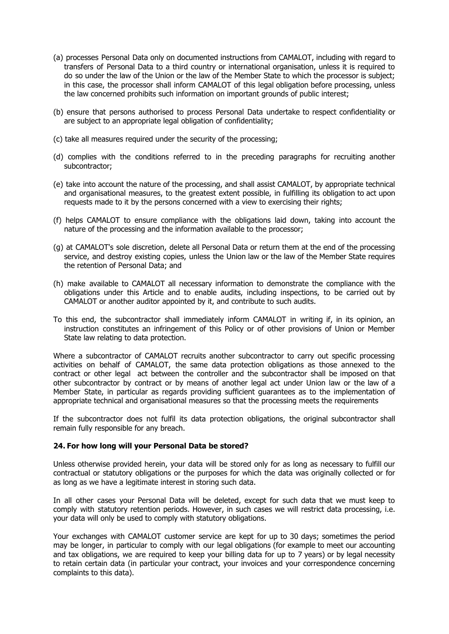- (a) processes Personal Data only on documented instructions from CAMALOT, including with regard to transfers of Personal Data to a third country or international organis ation, unless it is required to do so under the law of the Union or the law of the Member State to which the processor is subject; in this case, the processor shall inform CAMALOT of this legal obligation before processing, unless the law concerned prohibits such information on important grounds of public interest;
- (b) ensure that persons authorised to process Personal Data undertake to respect confidentiality or are subject to an appropriate legal obligation of confidentiality;
- (c) take all measures required under the security of the processing;
- (d) complies with the conditions referred to in the preceding paragraphs for recruiting another subcontractor;
- (e) take into account the nature of the processing, and shall assist C AMALOT, by appropriate technical and organisational measures, to the greatest extent possible, in fulfilling its obligation to act upon requests made to it by the persons concerned with a view to exercising their rights;
- (f) helps CAMALOT to ensure compliance with the obligations laid down, taking into account the nature of the processing and the information available to the processor;
- (g) at CAMALOT's sole discretion, delete all Personal Data or return the m at the end of the processing service, and destroy existing copies, unless the Union law or the law of the Member State requires the retention of Personal Data; and
- (h) make available to CAMALOT all necessary information to demonstrate the compliance with the obligations under this Article and to enable audits, including inspections, to be carried out by CAMALOT or another auditor appointed by it, and contribute to such audits.
- To this end, the subcontractor shall immediately inform CAMALOT in writing if, in its opinion, an instruction constitutes an infringement of this Policy or of other provisions of Union or Member State law relating to data protection.

Where a subcontractor of CAMALOT recruits another subcontractor to carry out specific processing activities on behalf of CAMALOT, the same data protection obligations as those annexed to the contract or other legal act between the controller and the subcontractor shall be imposed on that other subcontractor by contract or by means of another legal act under Union law or the law of a Member State, in particular as regards providing sufficient guarantees as to the implementation of appropriate technical and organisational measures so that the processing meets the requirements

If the subcontractor does not fulfil its data protection obligations, the original subcontractor shall remain fully responsible for any breach.

## **24. For how long will your Personal Data be stored?**

Unless otherwise provided herein, your data will be stored only for as long as necessary to fulfill our contractual or statutory obligations or the purposes for which the data was originally collected or for as long as we have a legitimate interest in storing such data.

In all other cases your Personal Data will be deleted, except for such data that we must keep to comply with statutory retention periods. However, in such cases we will restrict data processing, i.e. your data will only be used to comply with statutory obligations.

Your exchanges with CAMALOT customer service are kept for up to 30 days; sometimes the period may be longer, in particular to comply with our legal obligations (for example to meet our accounting and tax obligations, we are required to keep your billing data for up to 7 years) or by legal necessity to retain certain data (in particular your contract, your invoices and your correspondence concerning complaints to this data).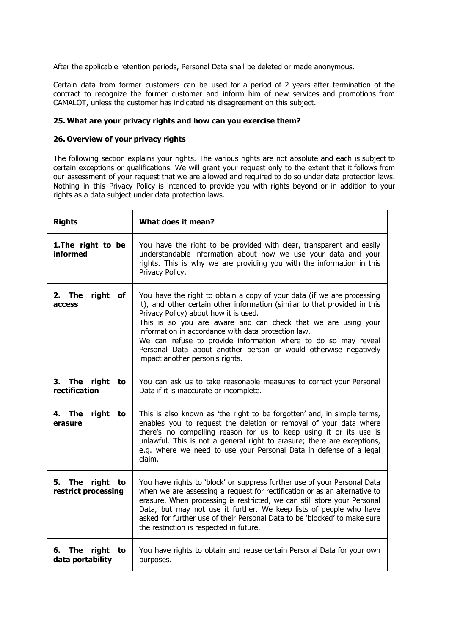After the applicable retention periods, Personal Data shall be deleted or made anonymous.

Certain data from former customers can be used for a period of 2 years after termination of the contract to recognize the former customer and inform him of new services and promotions from CAMALOT, unless the customer has indicated his disagreement on this subject.

# **25. What are your privacy rights and how can you exercise them?**

# **26. Overview of your privacy rights**

The following section explains your rights. The various rights are not a bsolute and each is subject to certain exceptions or qualifications. We will grant your request only to the extent that it follows from our assessment of your request that we are allowed and required to do so under data protection laws. Nothing in this Privacy Policy is intended to provide you with rights beyond or in addition to your rights as a data subject under data protection laws.

| <b>Rights</b>                                | What does it mean?                                                                                                                                                                                                                                                                                                                                                                                                                                                                             |
|----------------------------------------------|------------------------------------------------------------------------------------------------------------------------------------------------------------------------------------------------------------------------------------------------------------------------------------------------------------------------------------------------------------------------------------------------------------------------------------------------------------------------------------------------|
| 1. The right to be<br><b>informed</b>        | You have the right to be provided with clear, transparent and easily<br>understandable information about how we use your data and your<br>rights. This is why we are providing you with the information in this<br>Privacy Policy.                                                                                                                                                                                                                                                             |
| right of<br>2. The<br>access                 | You have the right to obtain a copy of your data (if we are processing<br>it), and other certain other information (similar to that provided in this<br>Privacy Policy) about how it is used.<br>This is so you are aware and can check that we are using your<br>information in accordance with data protection law.<br>We can refuse to provide information where to do so may reveal<br>Personal Data about another person or would otherwise negatively<br>impact another person's rights. |
| 3. The right to<br>rectification             | You can ask us to take reasonable measures to correct your Personal<br>Data if it is inaccurate or incomplete.                                                                                                                                                                                                                                                                                                                                                                                 |
| right to<br>4. The<br>erasure                | This is also known as 'the right to be forgotten' and, in simple terms,<br>enables you to request the deletion or removal of your data where<br>there's no compelling reason for us to keep using it or its use is<br>unlawful. This is not a general right to erasure; there are exceptions,<br>e.g. where we need to use your Personal Data in defense of a legal<br>claim.                                                                                                                  |
| 5. The<br>right<br>to<br>restrict processing | You have rights to 'block' or suppress further use of your Personal Data<br>when we are assessing a request for rectification or as an alternative to<br>erasure. When processing is restricted, we can still store your Personal<br>Data, but may not use it further. We keep lists of people who have<br>asked for further use of their Personal Data to be 'blocked' to make sure<br>the restriction is respected in future.                                                                |
| The<br>right<br>6.<br>to<br>data portability | You have rights to obtain and reuse certain Personal Data for your own<br>purposes.                                                                                                                                                                                                                                                                                                                                                                                                            |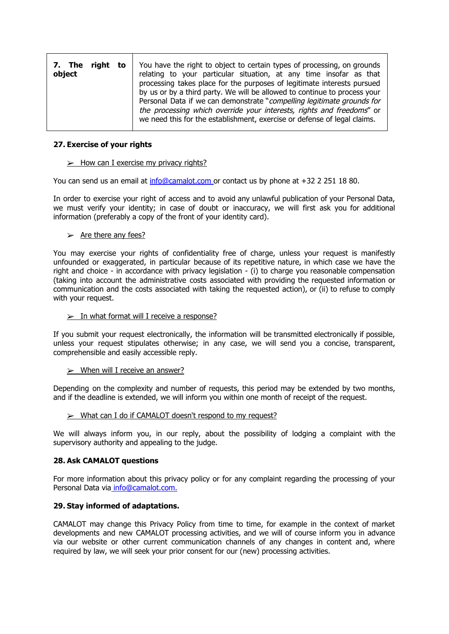| 7. The<br>right to<br>object | You have the right to object to certain types of processing, on grounds<br>relating to your particular situation, at any time insofar as that<br>processing takes place for the purposes of legitimate interests pursued<br>by us or by a third party. We will be allowed to continue to process your<br>Personal Data if we can demonstrate "compelling legitimate grounds for<br>the processing which override your interests, rights and freedoms" or |
|------------------------------|----------------------------------------------------------------------------------------------------------------------------------------------------------------------------------------------------------------------------------------------------------------------------------------------------------------------------------------------------------------------------------------------------------------------------------------------------------|
|                              | we need this for the establishment, exercise or defense of legal claims.                                                                                                                                                                                                                                                                                                                                                                                 |

## **27. Exercise of your rights**

#### $\triangleright$  How can I exercise my privacy rights?

You can send us an email at info@camalot.com or contact us by phone at +32 2 251 18 80.

In order to exercise your right of access and to avoid any unlawful publication of your Personal Data, we must verify your identity; in case of doubt or inaccuracy, we will first ask you for additional information (preferably a copy of the front of your identity card).

#### $\triangleright$  Are there any fees?

You may exercise your rights of confidentiality free of charge, unless your request is manifestly unfounded or exaggerated, in particular because of its repetitive nature, in which case we have the right and choice - in accordance with privacy legislation - (i) to charge you reasonable compensation (taking into account the administrative costs associated with providing the requested information or communication and the costs associated with taking the requested action), or (ii) to refuse to comply with your request.

#### $\geq$  In what format will I receive a response?

If you submit your request electronically, the information will be transmitted electronically if possible, unless your request stipulates otherwise; in any case, we will send you a concise, transparent, comprehensible and easily accessible reply.

## $\triangleright$  When will I receive an answer?

Depending on the complexity and number of requests, this period may be extended by two months, and if the deadline is extended, we will inform you within one month of receipt of the request.

## $\triangleright$  What can I do if CAMALOT doesn't respond to my request?

We will always inform you, in our reply, about the possibility of lodging a complaint with the supervisory authority and appealing to the judge.

## **28. Ask CAMALOT questions**

For more information about this privacy policy or for any complaint regarding the processing of your Personal Data via [info@camalot.com.](mailto:privacy@sympa.be)

## **29. Stay informed of adaptations.**

CAMALOT may change this Privacy Policy from time to time, for example in the context of market developments and new CAMALOT processing activities, and we will of course inform you in advance via our website or other current communication channels of any changes in content and, where required by law, we will seek your prior consent for our (new) processing activities.